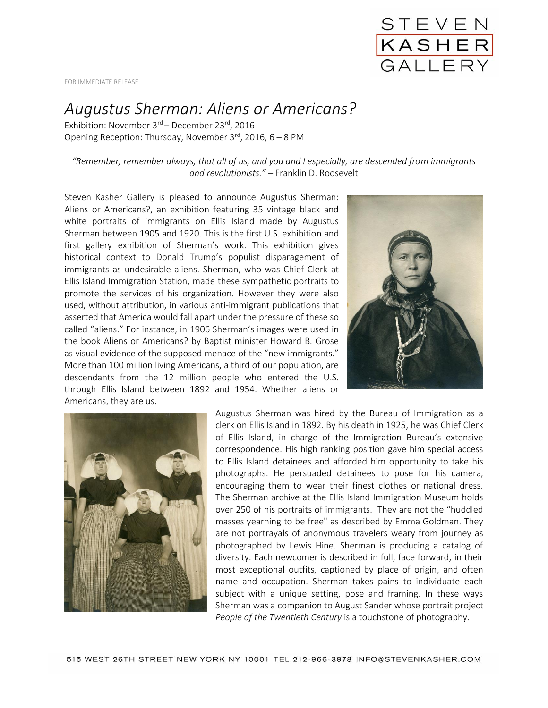

FOR IMMEDIATE RELEASE

## *Augustus Sherman: Aliens or Americans?*

Exhibition: November 3<sup>rd</sup> – December 23<sup>rd</sup>, 2016 Opening Reception: Thursday, November  $3^{rd}$ , 2016, 6 – 8 PM

*"Remember, remember always, that all of us, and you and I especially, are descended from immigrants and revolutionists." –* Franklin D. Roosevelt

Steven Kasher Gallery is pleased to announce Augustus Sherman: Aliens or Americans?, an exhibition featuring 35 vintage black and white portraits of immigrants on Ellis Island made by Augustus Sherman between 1905 and 1920. This is the first U.S. exhibition and first gallery exhibition of Sherman's work. This exhibition gives historical context to Donald Trump's populist disparagement of immigrants as undesirable aliens. Sherman, who was Chief Clerk at Ellis Island Immigration Station, made these sympathetic portraits to promote the services of his organization. However they were also used, without attribution, in various anti-immigrant publications that asserted that America would fall apart under the pressure of these so called "aliens." For instance, in 1906 Sherman's images were used in the book Aliens or Americans? by Baptist minister Howard B. Grose as visual evidence of the supposed menace of the "new immigrants." More than 100 million living Americans, a third of our population, are descendants from the 12 million people who entered the U.S. through Ellis Island between 1892 and 1954. Whether aliens or Americans, they are us.





Augustus Sherman was hired by the Bureau of Immigration as a clerk on Ellis Island in 1892. By his death in 1925, he was Chief Clerk of Ellis Island, in charge of the Immigration Bureau's extensive correspondence. His high ranking position gave him special access to Ellis Island detainees and afforded him opportunity to take his photographs. He persuaded detainees to pose for his camera, encouraging them to wear their finest clothes or national dress. The Sherman archive at the Ellis Island Immigration Museum holds over 250 of his portraits of immigrants. They are not the "huddled masses yearning to be free" as described by Emma Goldman. They are not portrayals of anonymous travelers weary from journey as photographed by Lewis Hine. Sherman is producing a catalog of diversity. Each newcomer is described in full, face forward, in their most exceptional outfits, captioned by place of origin, and often name and occupation. Sherman takes pains to individuate each subject with a unique setting, pose and framing. In these ways Sherman was a companion to August Sander whose portrait project *People of the Twentieth Century* is a touchstone of photography.